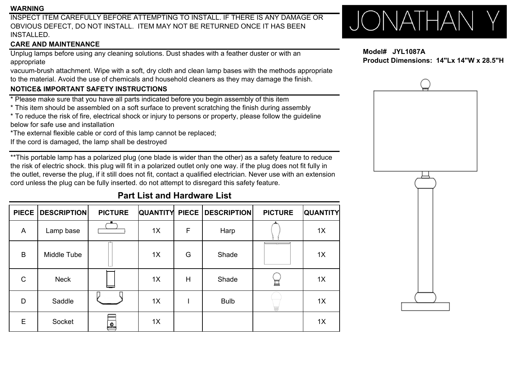#### **WARNING**

INSPECT ITEM CAREFULLY BEFORE ATTEMPTING TO INSTALL. IF THERE IS ANY DAMAGE OROBVIOUS DEFECT, DO NOT INSTALL. ITEM MAY NOT BE RETURNED ONCE IT HAS BEEN INSTALLED.

# **CARE AND MAINTENANCE**

Unplug lamps before using any cleaning solutions. Dust shades with a feather duster or with an appropriate

vacuum-brush attachment. Wipe with a soft, dry cloth and clean lamp bases with the methods appropriate to the material. Avoid the use of chemicals and household cleaners as they may damage the finish.

# **NOTICE& IMPORTANT SAFETY INSTRUCTIONS NOTICE& IMPORTANT SAFETY**

- \* Please make sure that you have all parts indicated before you begin assembly of this item
- \* This item should be assembled on a soft surface to prevent scratching the finish during assembly
- \* To reduce the risk of fire, electrical shock or injury to persons or property, please follow the guideline below for safe use and installation
- \*The external flexible cable or cord of this lamp cannot be replaced;
- If the cord is damaged, the lamp shall be destroyed

\*\*This portable lamp has a polarized plug (one blade is wider than the other) as a safety feature to reduce the risk of electric shock. this plug will fit in a polarized outlet only one way. if the plug does not fit fully in the outlet, reverse the plug, if it still does not fit, contact a qualified electrician. Never use with an extension cord unless the plug can be fully inserted. do not attempt to disregard this safety feature.

# **PIECEDESCRIPTION PICTURE QUANTITY PIECE DESCRIPTION PICTURE QUANTITY** A Lamp base 1X F Harp 1X B Middle Tube 1X G Shade 1X C Neck 1X H Shade 1X D Saddle 1X I Bulb 1X E Socket 1X 1X

# **Part List and Hardware List**

# JONATHAN Y

**Model# JYL1087AProduct Dimensions: 14"Lx 14"W x 28.5"H**